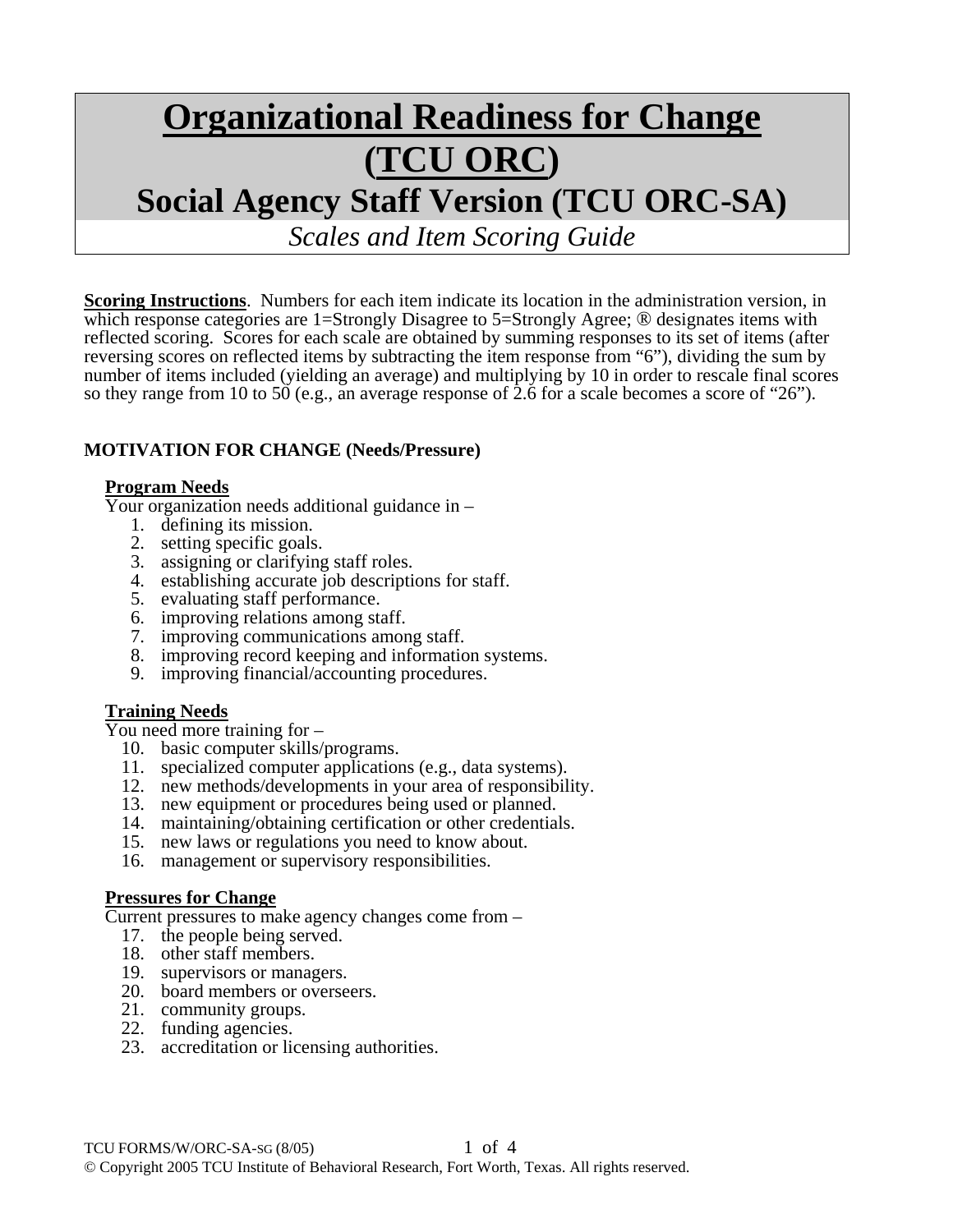# **Organizational Readiness for Change (TCU ORC) Social Agency Staff Version (TCU ORC-SA)**

*Scales and Item Scoring Guide*

**Scoring Instructions**. Numbers for each item indicate its location in the administration version, in which response categories are 1=Strongly Disagree to 5=Strongly Agree; <sup>®</sup> designates items with reflected scoring. Scores for each scale are obtained by summing responses to its set of items (after reversing scores on reflected items by subtracting the item response from "6"), dividing the sum by number of items included (yielding an average) and multiplying by 10 in order to rescale final scores so they range from 10 to 50 (e.g., an average response of 2.6 for a scale becomes a score of "26").

### **MOTIVATION FOR CHANGE (Needs/Pressure)**

**Program Needs** Your organization needs additional guidance in –

- 1. defining its mission.
- 2. setting specific goals.
- 3. assigning or clarifying staff roles.
- 4. establishing accurate job descriptions for staff.
- 5. evaluating staff performance.
- 6. improving relations among staff.
- 7. improving communications among staff.
- 8. improving record keeping and information systems.
- 9. improving financial/accounting procedures.

**Training Needs**<br>You need more training for –

- 10. basic computer skills/programs.
- 11. specialized computer applications (e.g., data systems).
- 12. new methods/developments in your area of responsibility.
- 13. new equipment or procedures being used or planned.
- 14. maintaining/obtaining certification or other credentials.
- 15. new laws or regulations you need to know about.
- 16. management or supervisory responsibilities.

#### **Pressures for Change**

Current pressures to make agency changes come from –

- 17. the people being served.
- 18. other staff members.
- 19. supervisors or managers.
- 20. board members or overseers.
- 21. community groups.
- 22. funding agencies.
- 23. accreditation or licensing authorities.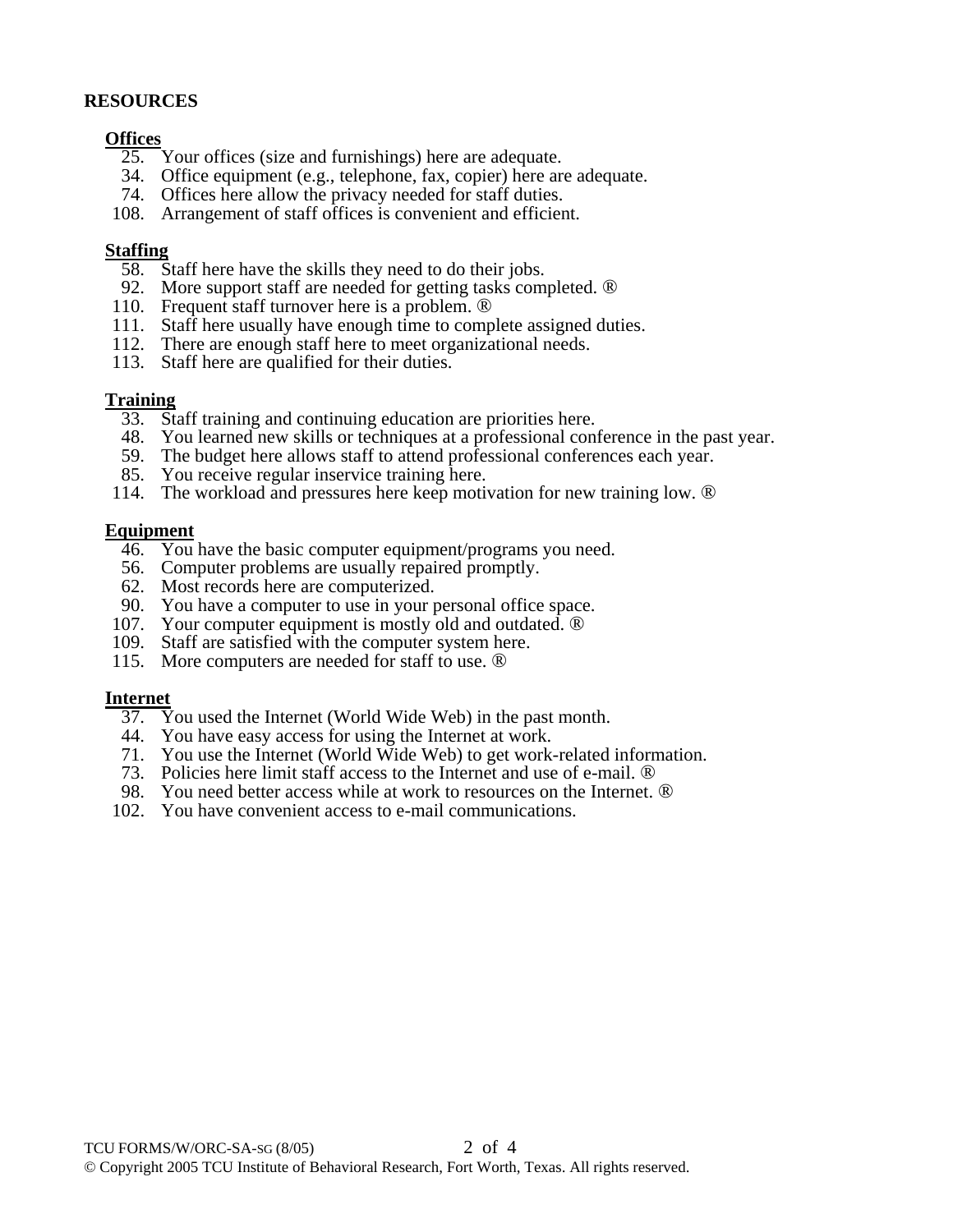#### **RESOURCES**

#### **Offices**

- 25. Your offices (size and furnishings) here are adequate.
- 34. Office equipment (e.g., telephone, fax, copier) here are adequate.
- 74. Offices here allow the privacy needed for staff duties.
- 108. Arrangement of staff offices is convenient and efficient.

#### **Staffing**

- 58. Staff here have the skills they need to do their jobs.
- 92. More support staff are needed for getting tasks completed. ®
- 110. Frequent staff turnover here is a problem. ®
- 111. Staff here usually have enough time to complete assigned duties.
- 112. There are enough staff here to meet organizational needs.
- 113. Staff here are qualified for their duties.

#### **Training**

- 33. Staff training and continuing education are priorities here.
- 48. You learned new skills or techniques at a professional conference in the past year.
- 59. The budget here allows staff to attend professional conferences each year.
- 85. You receive regular inservice training here.
- 114. The workload and pressures here keep motivation for new training low. ®

#### **Equipment**

- 46. You have the basic computer equipment/programs you need.
- 56. Computer problems are usually repaired promptly.
- 62. Most records here are computerized.
- 90. You have a computer to use in your personal office space.
- 107. Your computer equipment is mostly old and outdated. ®
- 109. Staff are satisfied with the computer system here.
	- 115. More computers are needed for staff to use. ®

#### **Internet**

- 37. You used the Internet (World Wide Web) in the past month.
- 44. You have easy access for using the Internet at work.
- 71. You use the Internet (World Wide Web) to get work-related information.
- 73. Policies here limit staff access to the Internet and use of e-mail. ®
	- 98. You need better access while at work to resources on the Internet. ®
	- 102. You have convenient access to e-mail communications.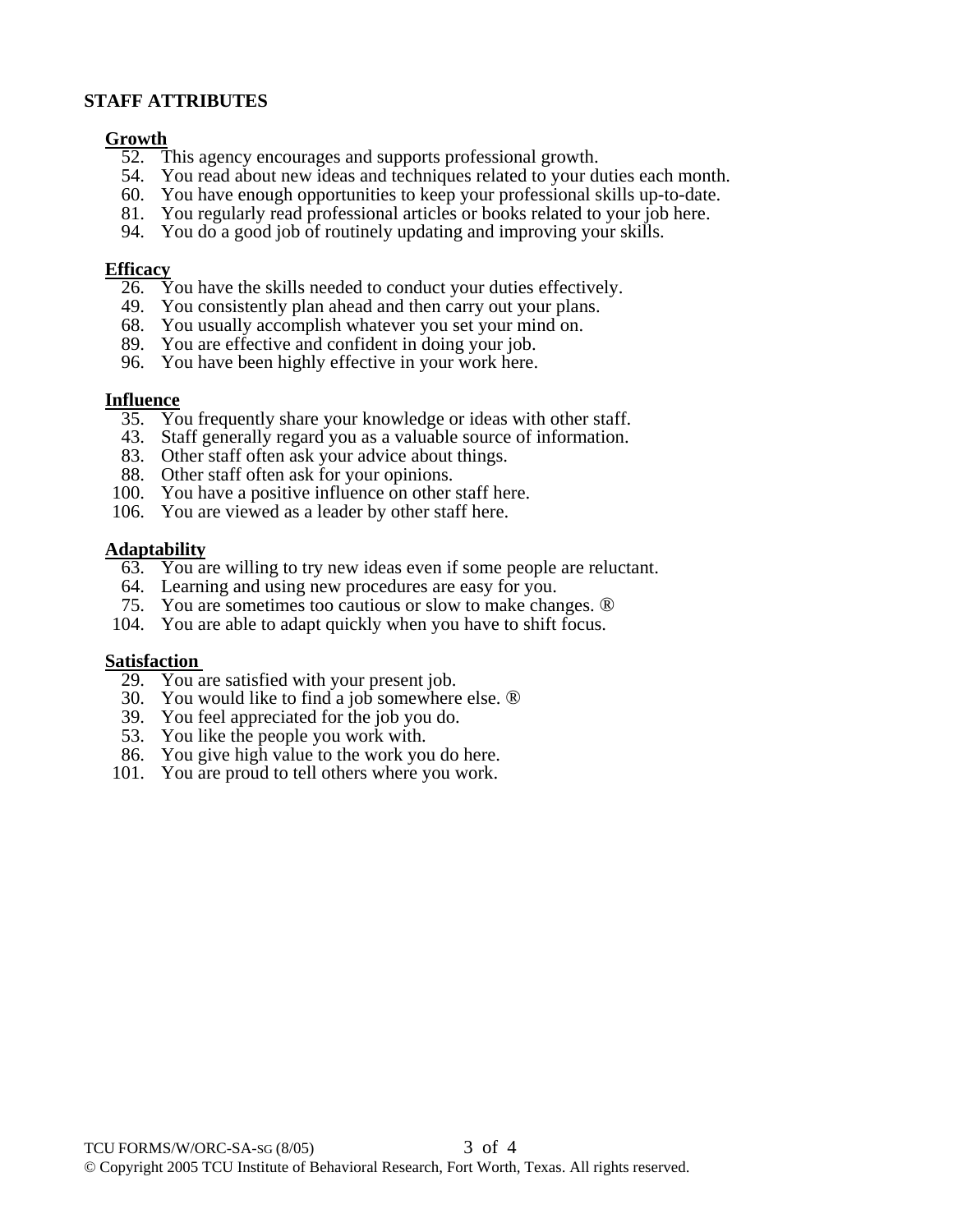#### **STAFF ATTRIBUTES**

## **<u>Growth</u>**<br>52. T

- This agency encourages and supports professional growth.
- 54. You read about new ideas and techniques related to your duties each month.
- 60. You have enough opportunities to keep your professional skills up-to-date.
- 81. You regularly read professional articles or books related to your job here.
- 94. You do a good job of routinely updating and improving your skills.

#### **Efficacy**

- 26. You have the skills needed to conduct your duties effectively.
- 49. You consistently plan ahead and then carry out your plans.
- 68. You usually accomplish whatever you set your mind on.
- 89. You are effective and confident in doing your job.
- 96. You have been highly effective in your work here.

#### **Influence**

- 35. You frequently share your knowledge or ideas with other staff.
- 43. Staff generally regard you as a valuable source of information.
- 83. Other staff often ask your advice about things.
- 88. Other staff often ask for your opinions.
- 100. You have a positive influence on other staff here.
- 106. You are viewed as a leader by other staff here.

#### **Adaptability**

- 63. You are willing to try new ideas even if some people are reluctant.
- 64. Learning and using new procedures are easy for you.
- 75. You are sometimes too cautious or slow to make changes. ®
- 104. You are able to adapt quickly when you have to shift focus.

#### **Satisfaction**

- 29. You are satisfied with your present job.
- 30. You would like to find a job somewhere else. ®
- 39. You feel appreciated for the job you do.
- 53. You like the people you work with.
- 86. You give high value to the work you do here.
- 101. You are proud to tell others where you work.